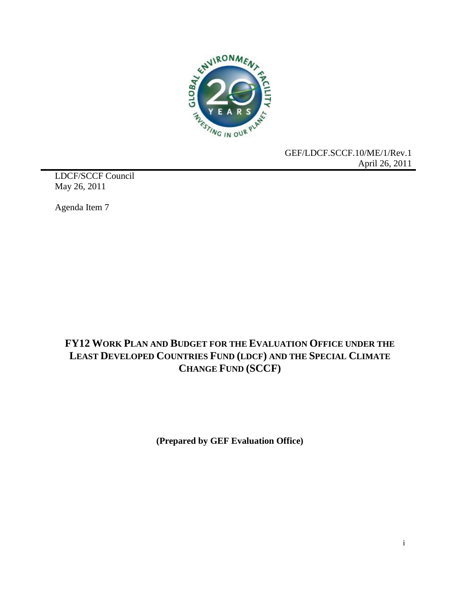

GEF/LDCF.SCCF.10/ME/1/Rev.1 April 26, 2011

LDCF/SCCF Council May 26, 2011

Agenda Item 7

# **FY12 WORK PLAN AND BUDGET FOR THE EVALUATION OFFICE UNDER THE LEAST DEVELOPED COUNTRIES FUND (LDCF) AND THE SPECIAL CLIMATE CHANGE FUND (SCCF)**

**(Prepared by GEF Evaluation Office)**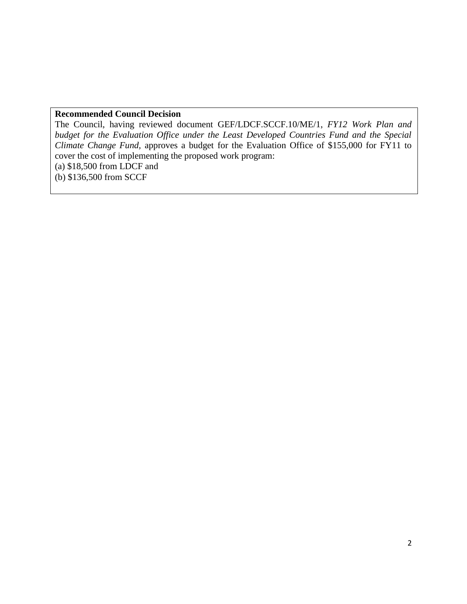# **Recommended Council Decision**

The Council, having reviewed document GEF/LDCF.SCCF.10/ME/1, *FY12 Work Plan and budget for the Evaluation Office under the Least Developed Countries Fund and the Special Climate Change Fund,* approves a budget for the Evaluation Office of \$155,000 for FY11 to cover the cost of implementing the proposed work program: (a) \$18,500 from LDCF and

(b) \$136,500 from SCCF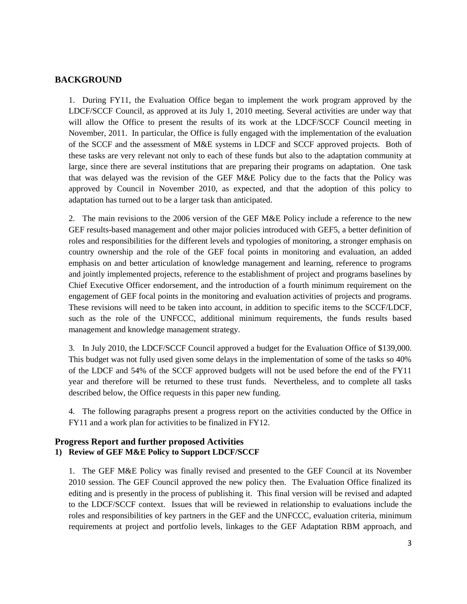## **BACKGROUND**

1. During FY11, the Evaluation Office began to implement the work program approved by the LDCF/SCCF Council, as approved at its July 1, 2010 meeting. Several activities are under way that will allow the Office to present the results of its work at the LDCF/SCCF Council meeting in November, 2011. In particular, the Office is fully engaged with the implementation of the evaluation of the SCCF and the assessment of M&E systems in LDCF and SCCF approved projects. Both of these tasks are very relevant not only to each of these funds but also to the adaptation community at large, since there are several institutions that are preparing their programs on adaptation. One task that was delayed was the revision of the GEF M&E Policy due to the facts that the Policy was approved by Council in November 2010, as expected, and that the adoption of this policy to adaptation has turned out to be a larger task than anticipated.

2. The main revisions to the 2006 version of the GEF M&E Policy include a reference to the new GEF results-based management and other major policies introduced with GEF5, a better definition of roles and responsibilities for the different levels and typologies of monitoring, a stronger emphasis on country ownership and the role of the GEF focal points in monitoring and evaluation, an added emphasis on and better articulation of knowledge management and learning, reference to programs and jointly implemented projects, reference to the establishment of project and programs baselines by Chief Executive Officer endorsement, and the introduction of a fourth minimum requirement on the engagement of GEF focal points in the monitoring and evaluation activities of projects and programs. These revisions will need to be taken into account, in addition to specific items to the SCCF/LDCF, such as the role of the UNFCCC, additional minimum requirements, the funds results based management and knowledge management strategy.

3. In July 2010, the LDCF/SCCF Council approved a budget for the Evaluation Office of \$139,000. This budget was not fully used given some delays in the implementation of some of the tasks so 40% of the LDCF and 54% of the SCCF approved budgets will not be used before the end of the FY11 year and therefore will be returned to these trust funds. Nevertheless, and to complete all tasks described below, the Office requests in this paper new funding.

4. The following paragraphs present a progress report on the activities conducted by the Office in FY11 and a work plan for activities to be finalized in FY12.

## **Progress Report and further proposed Activities 1) Review of GEF M&E Policy to Support LDCF/SCCF**

1. The GEF M&E Policy was finally revised and presented to the GEF Council at its November 2010 session. The GEF Council approved the new policy then. The Evaluation Office finalized its editing and is presently in the process of publishing it. This final version will be revised and adapted to the LDCF/SCCF context. Issues that will be reviewed in relationship to evaluations include the roles and responsibilities of key partners in the GEF and the UNFCCC, evaluation criteria, minimum requirements at project and portfolio levels, linkages to the GEF Adaptation RBM approach, and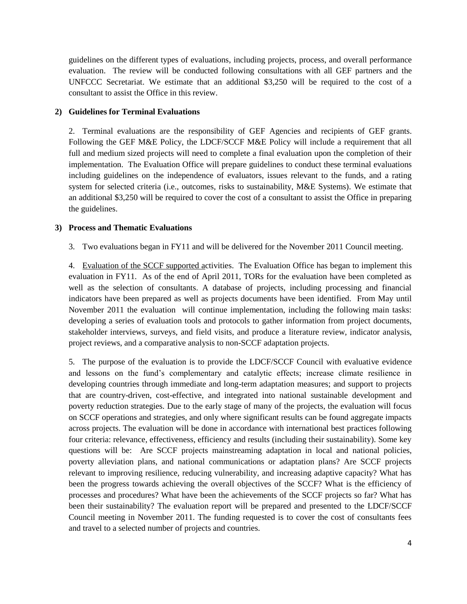guidelines on the different types of evaluations, including projects, process, and overall performance evaluation. The review will be conducted following consultations with all GEF partners and the UNFCCC Secretariat. We estimate that an additional \$3,250 will be required to the cost of a consultant to assist the Office in this review.

### **2) Guidelines for Terminal Evaluations**

2. Terminal evaluations are the responsibility of GEF Agencies and recipients of GEF grants. Following the GEF M&E Policy, the LDCF/SCCF M&E Policy will include a requirement that all full and medium sized projects will need to complete a final evaluation upon the completion of their implementation. The Evaluation Office will prepare guidelines to conduct these terminal evaluations including guidelines on the independence of evaluators, issues relevant to the funds, and a rating system for selected criteria (i.e., outcomes, risks to sustainability, M&E Systems). We estimate that an additional \$3,250 will be required to cover the cost of a consultant to assist the Office in preparing the guidelines.

#### **3) Process and Thematic Evaluations**

3. Two evaluations began in FY11 and will be delivered for the November 2011 Council meeting.

4. Evaluation of the SCCF supported activities. The Evaluation Office has began to implement this evaluation in FY11. As of the end of April 2011, TORs for the evaluation have been completed as well as the selection of consultants. A database of projects, including processing and financial indicators have been prepared as well as projects documents have been identified. From May until November 2011 the evaluation will continue implementation, including the following main tasks: developing a series of evaluation tools and protocols to gather information from project documents, stakeholder interviews, surveys, and field visits, and produce a literature review, indicator analysis, project reviews, and a comparative analysis to non-SCCF adaptation projects.

5. The purpose of the evaluation is to provide the LDCF/SCCF Council with evaluative evidence and lessons on the fund's complementary and catalytic effects; increase climate resilience in developing countries through immediate and long-term adaptation measures; and support to projects that are country-driven, cost-effective, and integrated into national sustainable development and poverty reduction strategies. Due to the early stage of many of the projects, the evaluation will focus on SCCF operations and strategies, and only where significant results can be found aggregate impacts across projects. The evaluation will be done in accordance with international best practices following four criteria: relevance, effectiveness, efficiency and results (including their sustainability). Some key questions will be: Are SCCF projects mainstreaming adaptation in local and national policies, poverty alleviation plans, and national communications or adaptation plans? Are SCCF projects relevant to improving resilience, reducing vulnerability, and increasing adaptive capacity? What has been the progress towards achieving the overall objectives of the SCCF? What is the efficiency of processes and procedures? What have been the achievements of the SCCF projects so far? What has been their sustainability? The evaluation report will be prepared and presented to the LDCF/SCCF Council meeting in November 2011. The funding requested is to cover the cost of consultants fees and travel to a selected number of projects and countries.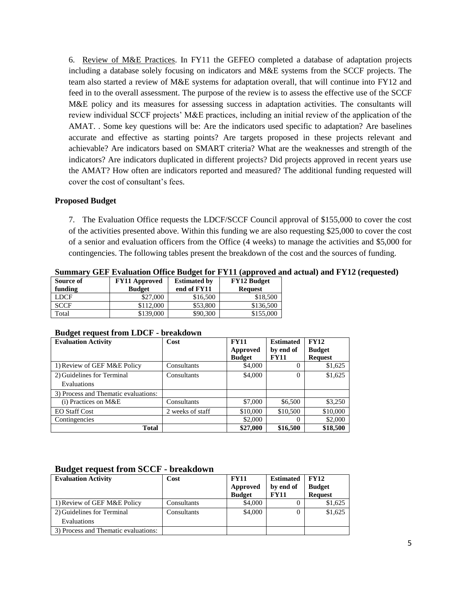6. Review of M&E Practices. In FY11 the GEFEO completed a database of adaptation projects including a database solely focusing on indicators and M&E systems from the SCCF projects. The team also started a review of M&E systems for adaptation overall, that will continue into FY12 and feed in to the overall assessment. The purpose of the review is to assess the effective use of the SCCF M&E policy and its measures for assessing success in adaptation activities. The consultants will review individual SCCF projects' M&E practices, including an initial review of the application of the AMAT. . Some key questions will be: Are the indicators used specific to adaptation? Are baselines accurate and effective as starting points? Are targets proposed in these projects relevant and achievable? Are indicators based on SMART criteria? What are the weaknesses and strength of the indicators? Are indicators duplicated in different projects? Did projects approved in recent years use the AMAT? How often are indicators reported and measured? The additional funding requested will cover the cost of consultant's fees.

#### **Proposed Budget**

7. The Evaluation Office requests the LDCF/SCCF Council approval of \$155,000 to cover the cost of the activities presented above. Within this funding we are also requesting \$25,000 to cover the cost of a senior and evaluation officers from the Office (4 weeks) to manage the activities and \$5,000 for contingencies. The following tables present the breakdown of the cost and the sources of funding.

| Summary GEF Evaluation Office Budget for FY11 (approved and actual) and FY12 (requested) |                      |                     |                    |  |  |  |
|------------------------------------------------------------------------------------------|----------------------|---------------------|--------------------|--|--|--|
| Source of                                                                                | <b>FY11 Approved</b> | <b>Estimated by</b> | <b>FY12 Budget</b> |  |  |  |
| funding                                                                                  | <b>Budget</b>        | end of FY11         | <b>Request</b>     |  |  |  |
| <b>LDCF</b>                                                                              | \$27,000             | \$16,500            | \$18,500           |  |  |  |
| <b>SCCF</b>                                                                              | \$112,000            | \$53,800            | \$136,500          |  |  |  |
| Total                                                                                    | \$139,000            | \$90,300            | \$155,000          |  |  |  |

| <b>Evaluation Activity</b>           | Cost             | <b>FY11</b>   | <b>Estimated</b> | <b>FY12</b>    |  |
|--------------------------------------|------------------|---------------|------------------|----------------|--|
|                                      |                  | Approved      | by end of        | <b>Budget</b>  |  |
|                                      |                  | <b>Budget</b> | <b>FY11</b>      | <b>Request</b> |  |
| 1) Review of GEF M&E Policy          | Consultants      | \$4,000       | 0                | \$1,625        |  |
| 2) Guidelines for Terminal           | Consultants      | \$4,000       | $\theta$         | \$1,625        |  |
| Evaluations                          |                  |               |                  |                |  |
| 3) Process and Thematic evaluations: |                  |               |                  |                |  |
| $(i)$ Practices on M&E               | Consultants      | \$7,000       | \$6,500          | \$3,250        |  |
| <b>EO Staff Cost</b>                 | 2 weeks of staff | \$10,000      | \$10,500         | \$10,000       |  |
| Contingencies                        |                  | \$2,000       | $\Omega$         | \$2,000        |  |
| Total                                |                  | \$27,000      | \$16,500         | \$18,500       |  |

#### **Budget request from LDCF - breakdown**

#### **Budget request from SCCF - breakdown**

| <b>Evaluation Activity</b>           | Cost        | <b>FY11</b>   | <b>Estimated</b> | <b>FY12</b>    |
|--------------------------------------|-------------|---------------|------------------|----------------|
|                                      |             | Approved      | by end of        | <b>Budget</b>  |
|                                      |             | <b>Budget</b> | <b>FY11</b>      | <b>Request</b> |
| 1) Review of GEF M&E Policy          | Consultants | \$4,000       | 0                | \$1,625        |
| 2) Guidelines for Terminal           | Consultants | \$4,000       | 0                | \$1,625        |
| Evaluations                          |             |               |                  |                |
| 3) Process and Thematic evaluations: |             |               |                  |                |